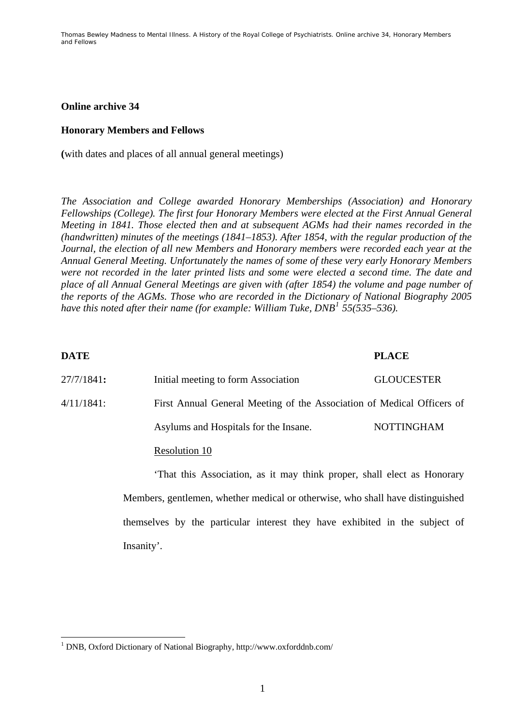### **Online archive 34**

#### **Honorary Members and Fellows**

**(**with dates and places of all annual general meetings)

*The Association and College awarded Honorary Memberships (Association) and Honorary Fellowships (College). The first four Honorary Members were elected at the First Annual General Meeting in 1841. Those elected then and at subsequent AGMs had their names recorded in the (handwritten) minutes of the meetings (1841–1853). After 1854, with the regular production of the Journal, the election of all new Members and Honorary members were recorded each year at the Annual General Meeting. Unfortunately the names of some of these very early Honorary Members were not recorded in the later printed lists and some were elected a second time. The date and place of all Annual General Meetings are given with (after 1854) the volume and page number of the reports of the AGMs. Those who are recorded in the Dictionary of National Biography 2005 have this noted after their name (for example: William Tuke, DNB[1](#page-0-0) 55(535–536).* 

| <b>DATE</b>   |                                                                        | <b>PLACE</b>      |
|---------------|------------------------------------------------------------------------|-------------------|
| 27/7/1841:    | Initial meeting to form Association                                    | <b>GLOUCESTER</b> |
| $4/11/1841$ : | First Annual General Meeting of the Association of Medical Officers of |                   |
|               | Asylums and Hospitals for the Insane.                                  | <b>NOTTINGHAM</b> |
|               | Resolution 10                                                          |                   |
|               |                                                                        |                   |

'That this Association, as it may think proper, shall elect as Honorary Members, gentlemen, whether medical or otherwise, who shall have distinguished themselves by the particular interest they have exhibited in the subject of Insanity'.

1

<span id="page-0-0"></span><sup>&</sup>lt;sup>1</sup> DNB, Oxford Dictionary of National Biography, http://www.oxforddnb.com/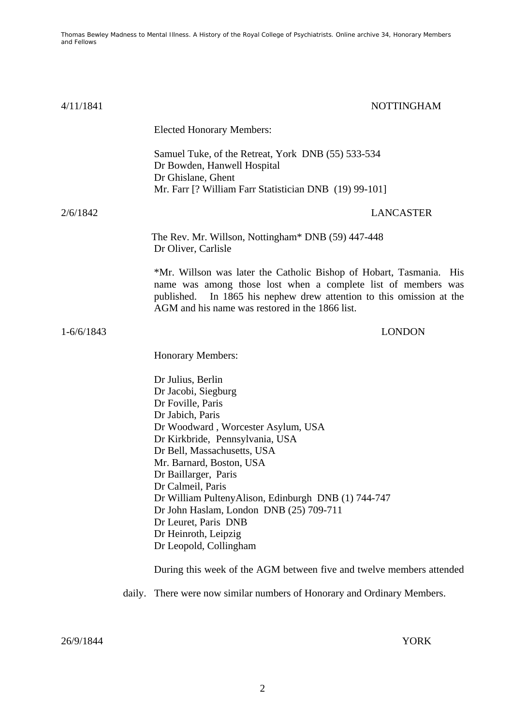| 4/11/1841      |        | <b>NOTTINGHAM</b>                                                                                                                                                                                                                                                                                                                                                                                                                               |
|----------------|--------|-------------------------------------------------------------------------------------------------------------------------------------------------------------------------------------------------------------------------------------------------------------------------------------------------------------------------------------------------------------------------------------------------------------------------------------------------|
|                |        | <b>Elected Honorary Members:</b>                                                                                                                                                                                                                                                                                                                                                                                                                |
|                |        | Samuel Tuke, of the Retreat, York DNB (55) 533-534<br>Dr Bowden, Hanwell Hospital<br>Dr Ghislane, Ghent<br>Mr. Farr [? William Farr Statistician DNB (19) 99-101]                                                                                                                                                                                                                                                                               |
| 2/6/1842       |        | <b>LANCASTER</b>                                                                                                                                                                                                                                                                                                                                                                                                                                |
|                |        | The Rev. Mr. Willson, Nottingham* DNB (59) 447-448<br>Dr Oliver, Carlisle                                                                                                                                                                                                                                                                                                                                                                       |
|                |        | *Mr. Willson was later the Catholic Bishop of Hobart, Tasmania.<br><b>His</b><br>name was among those lost when a complete list of members was<br>In 1865 his nephew drew attention to this omission at the<br>published.<br>AGM and his name was restored in the 1866 list.                                                                                                                                                                    |
| $1 - 6/6/1843$ |        | <b>LONDON</b>                                                                                                                                                                                                                                                                                                                                                                                                                                   |
|                |        | <b>Honorary Members:</b>                                                                                                                                                                                                                                                                                                                                                                                                                        |
|                |        | Dr Julius, Berlin<br>Dr Jacobi, Siegburg<br>Dr Foville, Paris<br>Dr Jabich, Paris<br>Dr Woodward, Worcester Asylum, USA<br>Dr Kirkbride, Pennsylvania, USA<br>Dr Bell, Massachusetts, USA<br>Mr. Barnard, Boston, USA<br>Dr Baillarger, Paris<br>Dr Calmeil, Paris<br>Dr William Pulteny Alison, Edinburgh DNB (1) 744-747<br>Dr John Haslam, London DNB (25) 709-711<br>Dr Leuret, Paris DNB<br>Dr Heinroth, Leipzig<br>Dr Leopold, Collingham |
|                |        | During this week of the AGM between five and twelve members attended                                                                                                                                                                                                                                                                                                                                                                            |
|                | daily. | There were now similar numbers of Honorary and Ordinary Members.                                                                                                                                                                                                                                                                                                                                                                                |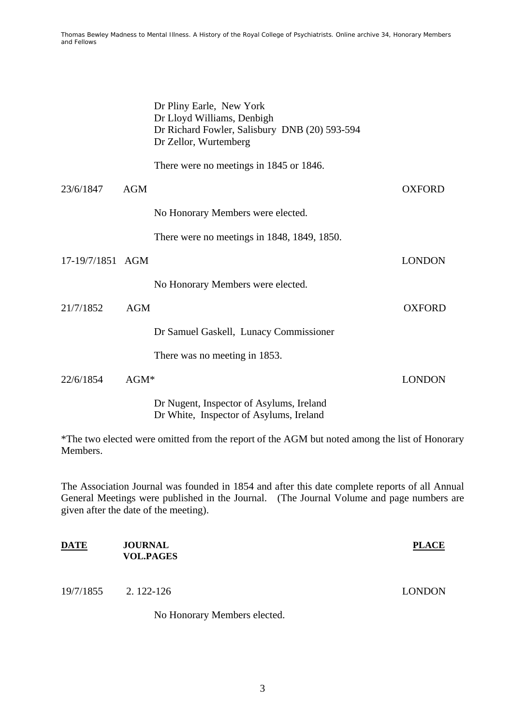|                  |            | Dr Pliny Earle, New York<br>Dr Lloyd Williams, Denbigh<br>Dr Richard Fowler, Salisbury DNB (20) 593-594<br>Dr Zellor, Wurtemberg |               |
|------------------|------------|----------------------------------------------------------------------------------------------------------------------------------|---------------|
|                  |            | There were no meetings in 1845 or 1846.                                                                                          |               |
| 23/6/1847        | <b>AGM</b> |                                                                                                                                  | <b>OXFORD</b> |
|                  |            | No Honorary Members were elected.                                                                                                |               |
|                  |            | There were no meetings in 1848, 1849, 1850.                                                                                      |               |
| 17-19/7/1851 AGM |            |                                                                                                                                  | <b>LONDON</b> |
|                  |            | No Honorary Members were elected.                                                                                                |               |
| 21/7/1852        | <b>AGM</b> |                                                                                                                                  | <b>OXFORD</b> |
|                  |            | Dr Samuel Gaskell, Lunacy Commissioner                                                                                           |               |
|                  |            | There was no meeting in 1853.                                                                                                    |               |
| 22/6/1854        | $AGM*$     |                                                                                                                                  | <b>LONDON</b> |
|                  |            | Dr Nugent, Inspector of Asylums, Ireland<br>Dr White, Inspector of Asylums, Ireland                                              |               |

\*The two elected were omitted from the report of the AGM but noted among the list of Honorary Members.

The Association Journal was founded in 1854 and after this date complete reports of all Annual General Meetings were published in the Journal. (The Journal Volume and page numbers are given after the date of the meeting).

| DATE      | <b>JOURNAL</b><br><b>VOL.PAGES</b> | <b>PLACE</b>  |
|-----------|------------------------------------|---------------|
| 19/7/1855 | 2. 122-126                         | <b>LONDON</b> |
|           | No Honorary Members elected.       |               |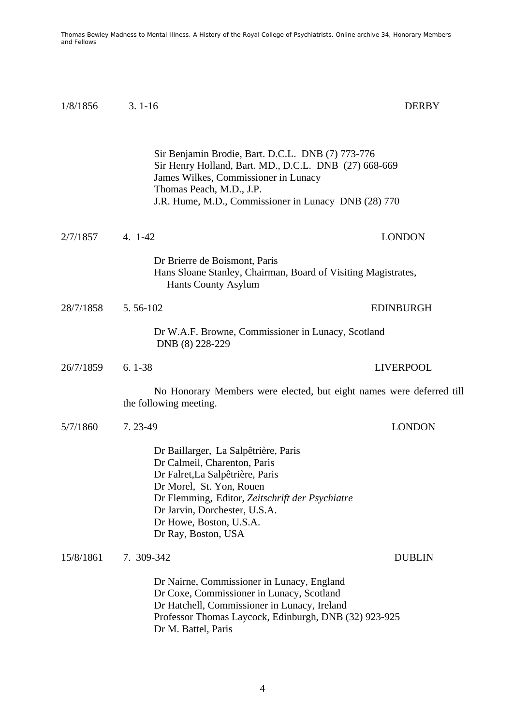1/8/18563. 1-16 DERBY

|           | Sir Benjamin Brodie, Bart. D.C.L. DNB (7) 773-776<br>Sir Henry Holland, Bart. MD., D.C.L. DNB (27) 668-669<br>James Wilkes, Commissioner in Lunacy<br>Thomas Peach, M.D., J.P.<br>J.R. Hume, M.D., Commissioner in Lunacy DNB (28) 770                                     |                  |
|-----------|----------------------------------------------------------------------------------------------------------------------------------------------------------------------------------------------------------------------------------------------------------------------------|------------------|
| 2/7/1857  | $4.1 - 42$                                                                                                                                                                                                                                                                 | <b>LONDON</b>    |
|           | Dr Brierre de Boismont, Paris<br>Hans Sloane Stanley, Chairman, Board of Visiting Magistrates,<br><b>Hants County Asylum</b>                                                                                                                                               |                  |
| 28/7/1858 | 5.56-102                                                                                                                                                                                                                                                                   | <b>EDINBURGH</b> |
|           | Dr W.A.F. Browne, Commissioner in Lunacy, Scotland<br>DNB (8) 228-229                                                                                                                                                                                                      |                  |
| 26/7/1859 | $6.1 - 38$                                                                                                                                                                                                                                                                 | <b>LIVERPOOL</b> |
|           | No Honorary Members were elected, but eight names were deferred till<br>the following meeting.                                                                                                                                                                             |                  |
| 5/7/1860  | 7.23-49                                                                                                                                                                                                                                                                    | <b>LONDON</b>    |
|           | Dr Baillarger, La Salpêtrière, Paris<br>Dr Calmeil, Charenton, Paris<br>Dr Falret, La Salpêtrière, Paris<br>Dr Morel, St. Yon, Rouen<br>Dr Flemming, Editor, Zeitschrift der Psychiatre<br>Dr Jarvin, Dorchester, U.S.A.<br>Dr Howe, Boston, U.S.A.<br>Dr Ray, Boston, USA |                  |
| 15/8/1861 | 7. 309-342                                                                                                                                                                                                                                                                 | <b>DUBLIN</b>    |
|           | Dr Nairne, Commissioner in Lunacy, England<br>Dr Coxe, Commissioner in Lunacy, Scotland<br>Dr Hatchell, Commissioner in Lunacy, Ireland<br>Professor Thomas Laycock, Edinburgh, DNB (32) 923-925<br>Dr M. Battel, Paris                                                    |                  |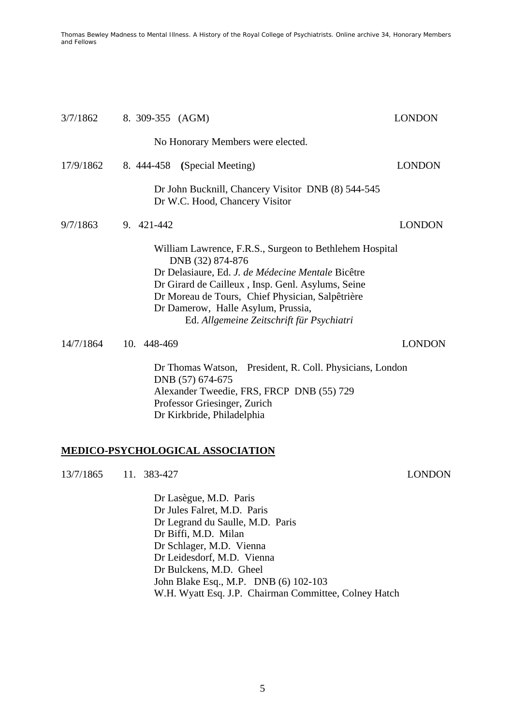| 3/7/1862  | 8. 309-355 (AGM)                                                                                                                                                                                                                                                                                                             | <b>LONDON</b> |
|-----------|------------------------------------------------------------------------------------------------------------------------------------------------------------------------------------------------------------------------------------------------------------------------------------------------------------------------------|---------------|
|           | No Honorary Members were elected.                                                                                                                                                                                                                                                                                            |               |
| 17/9/1862 | 8. 444-458 (Special Meeting)                                                                                                                                                                                                                                                                                                 | <b>LONDON</b> |
|           | Dr John Bucknill, Chancery Visitor DNB (8) 544-545<br>Dr W.C. Hood, Chancery Visitor                                                                                                                                                                                                                                         |               |
| 9/7/1863  | 9. 421-442                                                                                                                                                                                                                                                                                                                   | <b>LONDON</b> |
|           | William Lawrence, F.R.S., Surgeon to Bethlehem Hospital<br>DNB (32) 874-876<br>Dr Delasiaure, Ed. J. de Médecine Mentale Bicêtre<br>Dr Girard de Cailleux, Insp. Genl. Asylums, Seine<br>Dr Moreau de Tours, Chief Physician, Salpêtrière<br>Dr Damerow, Halle Asylum, Prussia,<br>Ed. Allgemeine Zeitschrift für Psychiatri |               |
| 14/7/1864 | 10. 448-469                                                                                                                                                                                                                                                                                                                  | <b>LONDON</b> |
|           | Dr Thomas Watson, President, R. Coll. Physicians, London<br>DNB (57) 674-675<br>Alexander Tweedie, FRS, FRCP DNB (55) 729<br>Professor Griesinger, Zurich<br>Dr Kirkbride, Philadelphia                                                                                                                                      |               |

# **MEDICO-PSYCHOLOGICAL ASSOCIATION**

13/7/1865 11. 383-427 LONDON

Dr Lasègue, M.D. Paris Dr Jules Falret, M.D. Paris Dr Legrand du Saulle, M.D. Paris Dr Biffi, M.D. Milan Dr Schlager, M.D. Vienna Dr Leidesdorf, M.D. Vienna Dr Bulckens, M.D. Gheel John Blake Esq., M.P. DNB (6) 102-103 W.H. Wyatt Esq. J.P. Chairman Committee, Colney Hatch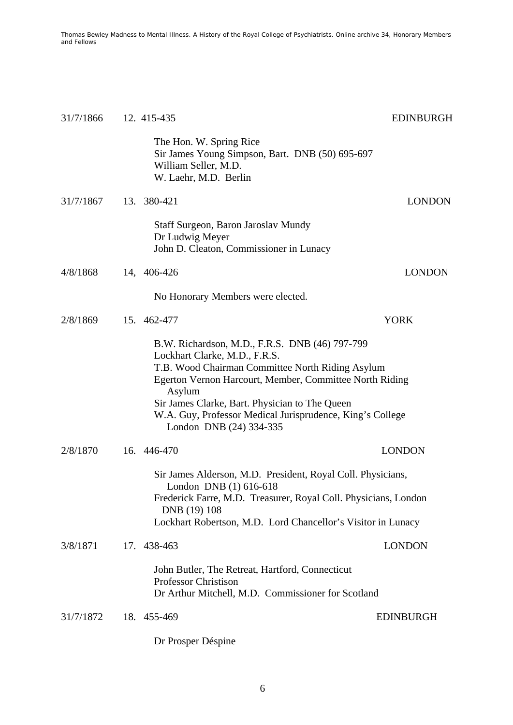| 31/7/1866 | 12. 415-435                                                                                                                                                                                                                                                                                                                                        | <b>EDINBURGH</b> |
|-----------|----------------------------------------------------------------------------------------------------------------------------------------------------------------------------------------------------------------------------------------------------------------------------------------------------------------------------------------------------|------------------|
|           | The Hon. W. Spring Rice<br>Sir James Young Simpson, Bart. DNB (50) 695-697<br>William Seller, M.D.<br>W. Laehr, M.D. Berlin                                                                                                                                                                                                                        |                  |
| 31/7/1867 | 13. 380-421                                                                                                                                                                                                                                                                                                                                        | <b>LONDON</b>    |
|           | Staff Surgeon, Baron Jaroslav Mundy<br>Dr Ludwig Meyer<br>John D. Cleaton, Commissioner in Lunacy                                                                                                                                                                                                                                                  |                  |
| 4/8/1868  | 14, 406-426                                                                                                                                                                                                                                                                                                                                        | <b>LONDON</b>    |
|           | No Honorary Members were elected.                                                                                                                                                                                                                                                                                                                  |                  |
| 2/8/1869  | 15. 462-477                                                                                                                                                                                                                                                                                                                                        | <b>YORK</b>      |
|           | B.W. Richardson, M.D., F.R.S. DNB (46) 797-799<br>Lockhart Clarke, M.D., F.R.S.<br>T.B. Wood Chairman Committee North Riding Asylum<br>Egerton Vernon Harcourt, Member, Committee North Riding<br>Asylum<br>Sir James Clarke, Bart. Physician to The Queen<br>W.A. Guy, Professor Medical Jurisprudence, King's College<br>London DNB (24) 334-335 |                  |
| 2/8/1870  | 16. 446-470                                                                                                                                                                                                                                                                                                                                        | <b>LONDON</b>    |
|           | Sir James Alderson, M.D. President, Royal Coll. Physicians,<br>London DNB (1) 616-618<br>Frederick Farre, M.D. Treasurer, Royal Coll. Physicians, London<br>DNB (19) 108<br>Lockhart Robertson, M.D. Lord Chancellor's Visitor in Lunacy                                                                                                           |                  |
| 3/8/1871  | 17. 438-463                                                                                                                                                                                                                                                                                                                                        | <b>LONDON</b>    |
|           | John Butler, The Retreat, Hartford, Connecticut<br><b>Professor Christison</b><br>Dr Arthur Mitchell, M.D. Commissioner for Scotland                                                                                                                                                                                                               |                  |
| 31/7/1872 | 18. 455-469                                                                                                                                                                                                                                                                                                                                        | <b>EDINBURGH</b> |
|           | Dr Prosper Déspine                                                                                                                                                                                                                                                                                                                                 |                  |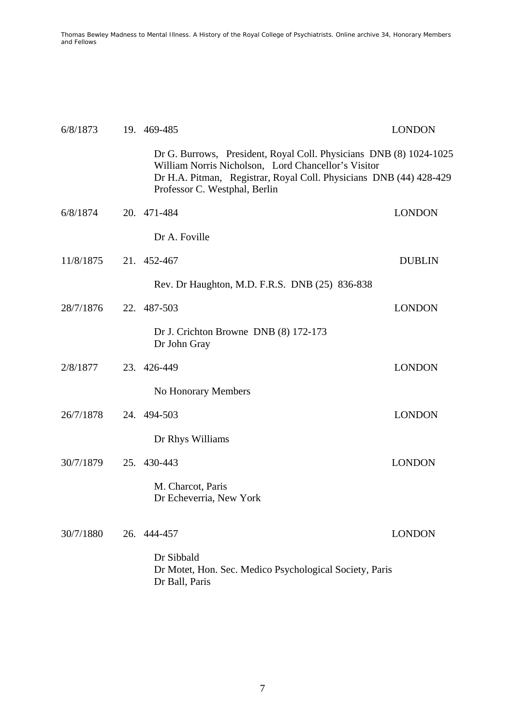| 6/8/1873  | 19. 469-485                                                                                                                                                                                                                      | <b>LONDON</b> |
|-----------|----------------------------------------------------------------------------------------------------------------------------------------------------------------------------------------------------------------------------------|---------------|
|           | Dr G. Burrows, President, Royal Coll. Physicians DNB (8) 1024-1025<br>William Norris Nicholson, Lord Chancellor's Visitor<br>Dr H.A. Pitman, Registrar, Royal Coll. Physicians DNB (44) 428-429<br>Professor C. Westphal, Berlin |               |
| 6/8/1874  | 20. 471-484                                                                                                                                                                                                                      | <b>LONDON</b> |
|           | Dr A. Foville                                                                                                                                                                                                                    |               |
| 11/8/1875 | 21. 452-467                                                                                                                                                                                                                      | <b>DUBLIN</b> |
|           | Rev. Dr Haughton, M.D. F.R.S. DNB (25) 836-838                                                                                                                                                                                   |               |
| 28/7/1876 | 22. 487-503                                                                                                                                                                                                                      | <b>LONDON</b> |
|           | Dr J. Crichton Browne DNB (8) 172-173<br>Dr John Gray                                                                                                                                                                            |               |
| 2/8/1877  | 23. 426-449                                                                                                                                                                                                                      | <b>LONDON</b> |
|           | No Honorary Members                                                                                                                                                                                                              |               |
| 26/7/1878 | 24. 494-503                                                                                                                                                                                                                      | <b>LONDON</b> |
|           | Dr Rhys Williams                                                                                                                                                                                                                 |               |
| 30/7/1879 | 25. 430-443                                                                                                                                                                                                                      | <b>LONDON</b> |
|           | M. Charcot, Paris<br>Dr Echeverria, New York                                                                                                                                                                                     |               |
| 30/7/1880 | 26. 444-457                                                                                                                                                                                                                      | <b>LONDON</b> |
|           | Dr Sibbald<br>Dr Motet, Hon. Sec. Medico Psychological Society, Paris<br>Dr Ball, Paris                                                                                                                                          |               |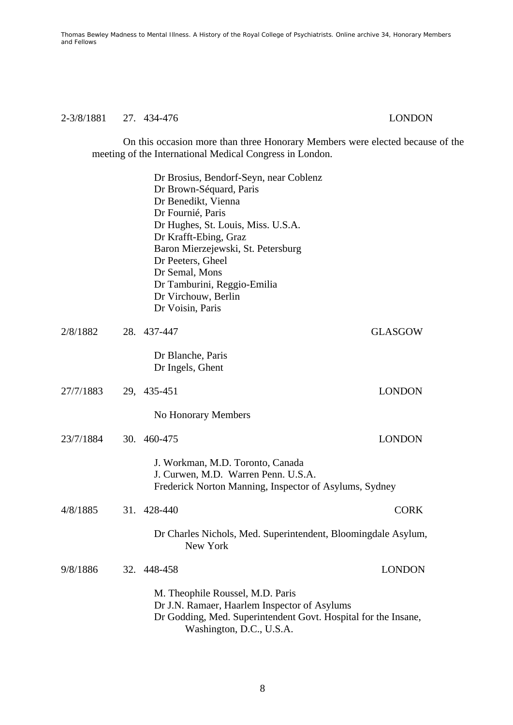## 2-3/8/1881 27. 434-476 LONDON

On this occasion more than three Honorary Members were elected because of the meeting of the International Medical Congress in London.

|           | Dr Brosius, Bendorf-Seyn, near Coblenz<br>Dr Brown-Séquard, Paris<br>Dr Benedikt, Vienna<br>Dr Fournié, Paris<br>Dr Hughes, St. Louis, Miss. U.S.A.<br>Dr Krafft-Ebing, Graz<br>Baron Mierzejewski, St. Petersburg<br>Dr Peeters, Gheel<br>Dr Semal, Mons<br>Dr Tamburini, Reggio-Emilia<br>Dr Virchouw, Berlin<br>Dr Voisin, Paris |                |
|-----------|-------------------------------------------------------------------------------------------------------------------------------------------------------------------------------------------------------------------------------------------------------------------------------------------------------------------------------------|----------------|
| 2/8/1882  | 28. 437-447                                                                                                                                                                                                                                                                                                                         | <b>GLASGOW</b> |
|           | Dr Blanche, Paris<br>Dr Ingels, Ghent                                                                                                                                                                                                                                                                                               |                |
| 27/7/1883 | 29, 435-451                                                                                                                                                                                                                                                                                                                         | <b>LONDON</b>  |
|           | No Honorary Members                                                                                                                                                                                                                                                                                                                 |                |
| 23/7/1884 | 30. 460-475                                                                                                                                                                                                                                                                                                                         | <b>LONDON</b>  |
|           | J. Workman, M.D. Toronto, Canada<br>J. Curwen, M.D. Warren Penn. U.S.A.<br>Frederick Norton Manning, Inspector of Asylums, Sydney                                                                                                                                                                                                   |                |
| 4/8/1885  | 31. 428-440                                                                                                                                                                                                                                                                                                                         | <b>CORK</b>    |
|           | Dr Charles Nichols, Med. Superintendent, Bloomingdale Asylum,<br>New York                                                                                                                                                                                                                                                           |                |
| 9/8/1886  | 32. 448-458                                                                                                                                                                                                                                                                                                                         | <b>LONDON</b>  |
|           | M. Theophile Roussel, M.D. Paris<br>Dr J.N. Ramaer, Haarlem Inspector of Asylums<br>Dr Godding, Med. Superintendent Govt. Hospital for the Insane,<br>Washington, D.C., U.S.A.                                                                                                                                                      |                |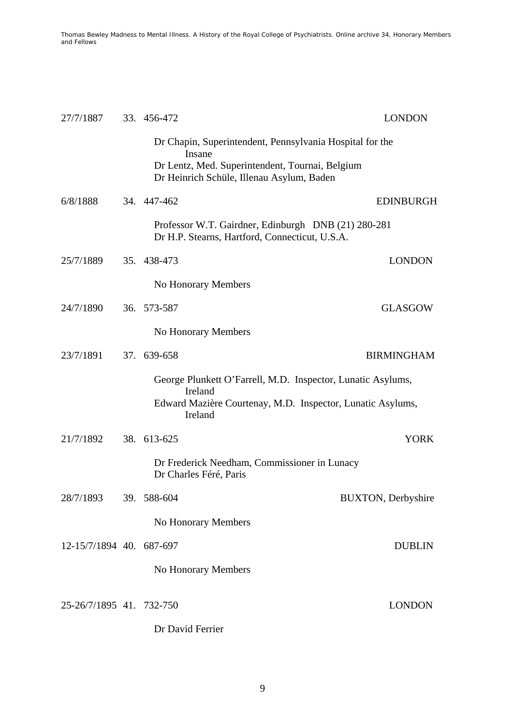| 27/7/1887                | 33. 456-472                                                                                                           | <b>LONDON</b>              |
|--------------------------|-----------------------------------------------------------------------------------------------------------------------|----------------------------|
|                          | Dr Chapin, Superintendent, Pennsylvania Hospital for the<br>Insane<br>Dr Lentz, Med. Superintendent, Tournai, Belgium |                            |
|                          | Dr Heinrich Schüle, Illenau Asylum, Baden                                                                             |                            |
| 6/8/1888                 | 34. 447-462                                                                                                           | EDINBURGH                  |
|                          | Professor W.T. Gairdner, Edinburgh DNB (21) 280-281<br>Dr H.P. Stearns, Hartford, Connecticut, U.S.A.                 |                            |
| 25/7/1889                | 35. 438-473                                                                                                           | <b>LONDON</b>              |
|                          | No Honorary Members                                                                                                   |                            |
| 24/7/1890                | 36. 573-587                                                                                                           | <b>GLASGOW</b>             |
|                          | No Honorary Members                                                                                                   |                            |
| 23/7/1891                | 37. 639-658                                                                                                           | <b>BIRMINGHAM</b>          |
|                          | George Plunkett O'Farrell, M.D. Inspector, Lunatic Asylums,                                                           |                            |
|                          | Ireland<br>Edward Mazière Courtenay, M.D. Inspector, Lunatic Asylums,<br>Ireland                                      |                            |
| 21/7/1892                | 38. 613-625                                                                                                           | <b>YORK</b>                |
|                          | Dr Frederick Needham, Commissioner in Lunacy<br>Dr Charles Féré, Paris                                                |                            |
| 28/7/1893                | 39. 588-604                                                                                                           | <b>BUXTON</b> , Derbyshire |
|                          | No Honorary Members                                                                                                   |                            |
| 12-15/7/1894 40. 687-697 |                                                                                                                       | <b>DUBLIN</b>              |
|                          | No Honorary Members                                                                                                   |                            |
| 25-26/7/1895 41. 732-750 |                                                                                                                       | <b>LONDON</b>              |
|                          | Dr David Ferrier                                                                                                      |                            |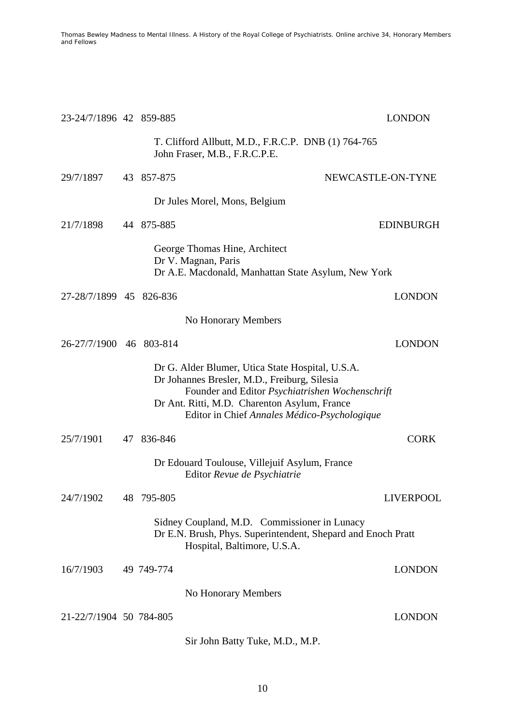| 23-24/7/1896 42 859-885 |                                                                                                                                                  | <b>LONDON</b>                                                                                   |
|-------------------------|--------------------------------------------------------------------------------------------------------------------------------------------------|-------------------------------------------------------------------------------------------------|
|                         | John Fraser, M.B., F.R.C.P.E.                                                                                                                    | T. Clifford Allbutt, M.D., F.R.C.P. DNB (1) 764-765                                             |
| 29/7/1897               | 43 857-875                                                                                                                                       | NEWCASTLE-ON-TYNE                                                                               |
|                         | Dr Jules Morel, Mons, Belgium                                                                                                                    |                                                                                                 |
| 21/7/1898               | 44 875-885                                                                                                                                       | <b>EDINBURGH</b>                                                                                |
|                         | George Thomas Hine, Architect<br>Dr V. Magnan, Paris                                                                                             | Dr A.E. Macdonald, Manhattan State Asylum, New York                                             |
| 27-28/7/1899 45 826-836 |                                                                                                                                                  | <b>LONDON</b>                                                                                   |
|                         | No Honorary Members                                                                                                                              |                                                                                                 |
| 26-27/7/1900 46 803-814 |                                                                                                                                                  | <b>LONDON</b>                                                                                   |
|                         | Dr G. Alder Blumer, Utica State Hospital, U.S.A.<br>Dr Johannes Bresler, M.D., Freiburg, Silesia<br>Dr Ant. Ritti, M.D. Charenton Asylum, France | Founder and Editor Psychiatrishen Wochenschrift<br>Editor in Chief Annales Médico-Psychologique |
| 25/7/1901               | 47 836-846                                                                                                                                       | <b>CORK</b>                                                                                     |
|                         | Dr Edouard Toulouse, Villejuif Asylum, France<br>Editor Revue de Psychiatrie                                                                     |                                                                                                 |
| 24/7/1902               | 48 795-805                                                                                                                                       | <b>LIVERPOOL</b>                                                                                |
|                         | Sidney Coupland, M.D. Commissioner in Lunacy<br>Hospital, Baltimore, U.S.A.                                                                      | Dr E.N. Brush, Phys. Superintendent, Shepard and Enoch Pratt                                    |
| 16/7/1903               | 49 749-774                                                                                                                                       | <b>LONDON</b>                                                                                   |
|                         | No Honorary Members                                                                                                                              |                                                                                                 |
| 21-22/7/1904 50 784-805 |                                                                                                                                                  | <b>LONDON</b>                                                                                   |
|                         | Sir John Batty Tuke, M.D., M.P.                                                                                                                  |                                                                                                 |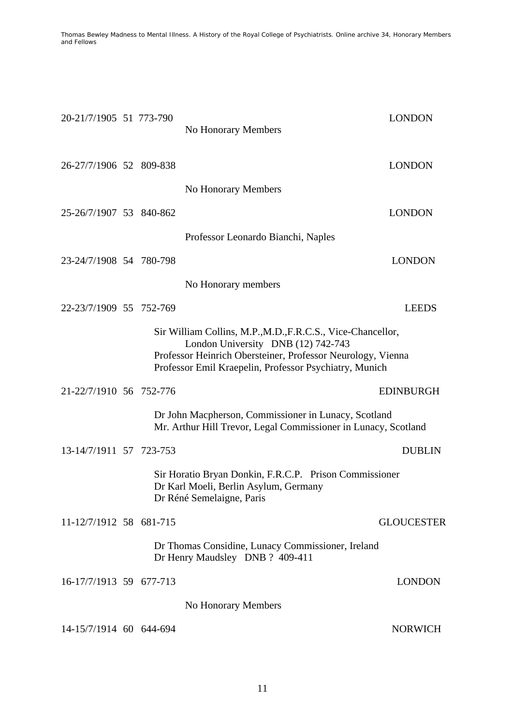| 20-21/7/1905 51 773-790 |  | No Honorary Members                                                                                                          | <b>LONDON</b>     |
|-------------------------|--|------------------------------------------------------------------------------------------------------------------------------|-------------------|
|                         |  |                                                                                                                              |                   |
| 26-27/7/1906 52 809-838 |  |                                                                                                                              | <b>LONDON</b>     |
|                         |  | No Honorary Members                                                                                                          |                   |
| 25-26/7/1907 53 840-862 |  |                                                                                                                              | <b>LONDON</b>     |
|                         |  | Professor Leonardo Bianchi, Naples                                                                                           |                   |
| 23-24/7/1908 54 780-798 |  |                                                                                                                              | <b>LONDON</b>     |
|                         |  | No Honorary members                                                                                                          |                   |
| 22-23/7/1909 55 752-769 |  |                                                                                                                              | <b>LEEDS</b>      |
|                         |  | Sir William Collins, M.P., M.D., F.R.C.S., Vice-Chancellor,<br>London University DNB (12) 742-743                            |                   |
|                         |  | Professor Heinrich Obersteiner, Professor Neurology, Vienna<br>Professor Emil Kraepelin, Professor Psychiatry, Munich        |                   |
|                         |  |                                                                                                                              |                   |
| 21-22/7/1910 56 752-776 |  |                                                                                                                              | <b>EDINBURGH</b>  |
|                         |  | Dr John Macpherson, Commissioner in Lunacy, Scotland<br>Mr. Arthur Hill Trevor, Legal Commissioner in Lunacy, Scotland       |                   |
| 13-14/7/1911 57 723-753 |  |                                                                                                                              | <b>DUBLIN</b>     |
|                         |  | Sir Horatio Bryan Donkin, F.R.C.P. Prison Commissioner<br>Dr Karl Moeli, Berlin Asylum, Germany<br>Dr Réné Semelaigne, Paris |                   |
| 11-12/7/1912 58 681-715 |  |                                                                                                                              | <b>GLOUCESTER</b> |
|                         |  | Dr Thomas Considine, Lunacy Commissioner, Ireland<br>Dr Henry Maudsley DNB ? 409-411                                         |                   |
| 16-17/7/1913 59 677-713 |  |                                                                                                                              | <b>LONDON</b>     |
|                         |  | No Honorary Members                                                                                                          |                   |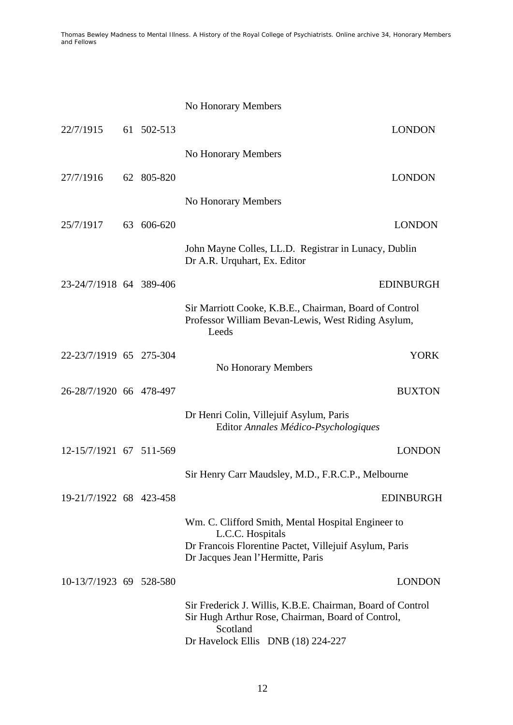|                         |            | No Honorary Members                                                                                                         |
|-------------------------|------------|-----------------------------------------------------------------------------------------------------------------------------|
| 22/7/1915               | 61 502-513 | <b>LONDON</b>                                                                                                               |
|                         |            | No Honorary Members                                                                                                         |
| 27/7/1916               | 62 805-820 | <b>LONDON</b>                                                                                                               |
|                         |            | No Honorary Members                                                                                                         |
| 25/7/1917               | 63 606-620 | <b>LONDON</b>                                                                                                               |
|                         |            | John Mayne Colles, LL.D. Registrar in Lunacy, Dublin<br>Dr A.R. Urquhart, Ex. Editor                                        |
| 23-24/7/1918 64 389-406 |            | <b>EDINBURGH</b>                                                                                                            |
|                         |            | Sir Marriott Cooke, K.B.E., Chairman, Board of Control<br>Professor William Bevan-Lewis, West Riding Asylum,<br>Leeds       |
| 22-23/7/1919 65 275-304 |            | <b>YORK</b><br>No Honorary Members                                                                                          |
| 26-28/7/1920 66 478-497 |            | <b>BUXTON</b>                                                                                                               |
|                         |            | Dr Henri Colin, Villejuif Asylum, Paris<br>Editor Annales Médico-Psychologiques                                             |
| 12-15/7/1921 67 511-569 |            | <b>LONDON</b>                                                                                                               |
|                         |            | Sir Henry Carr Maudsley, M.D., F.R.C.P., Melbourne                                                                          |
| 19-21/7/1922 68 423-458 |            | EDINBURGH                                                                                                                   |
|                         |            | Wm. C. Clifford Smith, Mental Hospital Engineer to                                                                          |
|                         |            | L.C.C. Hospitals<br>Dr Francois Florentine Pactet, Villejuif Asylum, Paris<br>Dr Jacques Jean l'Hermitte, Paris             |
| 10-13/7/1923 69 528-580 |            | <b>LONDON</b>                                                                                                               |
|                         |            | Sir Frederick J. Willis, K.B.E. Chairman, Board of Control<br>Sir Hugh Arthur Rose, Chairman, Board of Control,<br>Scotland |
|                         |            | Dr Havelock Ellis DNB (18) 224-227                                                                                          |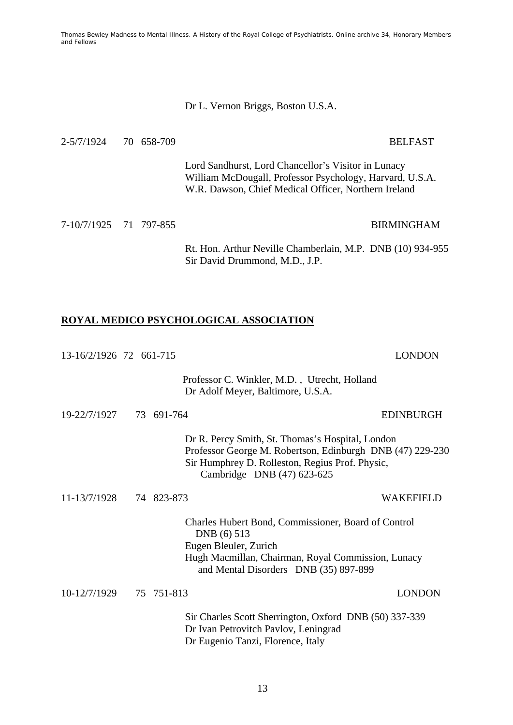#### Dr L. Vernon Briggs, Boston U.S.A.

2-5/7/1924 70 658-709 BELFAST

 Lord Sandhurst, Lord Chancellor's Visitor in Lunacy William McDougall, Professor Psychology, Harvard, U.S.A. W.R. Dawson, Chief Medical Officer, Northern Ireland

7-10/7/1925 71 797-855 BIRMINGHAM

 Rt. Hon. Arthur Neville Chamberlain, M.P. DNB (10) 934-955 Sir David Drummond, M.D., J.P.

# **ROYAL MEDICO PSYCHOLOGICAL ASSOCIATION**

| 13-16/2/1926 72 661-715 |            |                                                                                                                                                                                                | <b>LONDON</b>    |
|-------------------------|------------|------------------------------------------------------------------------------------------------------------------------------------------------------------------------------------------------|------------------|
|                         |            | Professor C. Winkler, M.D., Utrecht, Holland<br>Dr Adolf Meyer, Baltimore, U.S.A.                                                                                                              |                  |
| 19-22/7/1927            | 73 691-764 |                                                                                                                                                                                                | <b>EDINBURGH</b> |
|                         |            | Dr R. Percy Smith, St. Thomas's Hospital, London<br>Professor George M. Robertson, Edinburgh DNB (47) 229-230<br>Sir Humphrey D. Rolleston, Regius Prof. Physic,<br>Cambridge DNB (47) 623-625 |                  |
| 11-13/7/1928            | 74 823-873 |                                                                                                                                                                                                | <b>WAKEFIELD</b> |
|                         |            | Charles Hubert Bond, Commissioner, Board of Control<br>DNB (6) 513<br>Eugen Bleuler, Zurich<br>Hugh Macmillan, Chairman, Royal Commission, Lunacy<br>and Mental Disorders DNB (35) 897-899     |                  |
| 10-12/7/1929            | 75 751-813 |                                                                                                                                                                                                | <b>LONDON</b>    |
|                         |            | Sir Charles Scott Sherrington, Oxford DNB (50) 337-339<br>Dr Ivan Petrovitch Pavlov, Leningrad<br>Dr Eugenio Tanzi, Florence, Italy                                                            |                  |

13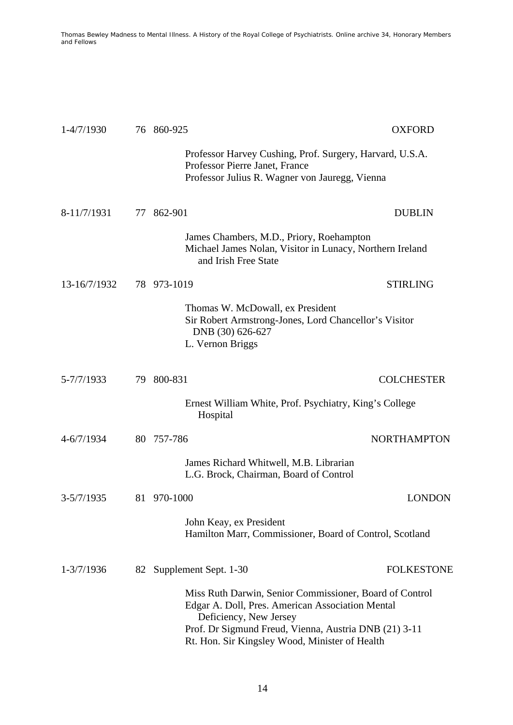| $1-4/7/1930$            |    | 76 860-925                                                                                                                                                                                                                                       | <b>OXFORD</b>      |
|-------------------------|----|--------------------------------------------------------------------------------------------------------------------------------------------------------------------------------------------------------------------------------------------------|--------------------|
|                         |    | Professor Harvey Cushing, Prof. Surgery, Harvard, U.S.A.<br>Professor Pierre Janet, France<br>Professor Julius R. Wagner von Jauregg, Vienna                                                                                                     |                    |
| 8-11/7/1931             |    | 77 862-901                                                                                                                                                                                                                                       | <b>DUBLIN</b>      |
|                         |    | James Chambers, M.D., Priory, Roehampton<br>Michael James Nolan, Visitor in Lunacy, Northern Ireland<br>and Irish Free State                                                                                                                     |                    |
| 13-16/7/1932            |    | 78 973-1019                                                                                                                                                                                                                                      | <b>STIRLING</b>    |
|                         |    | Thomas W. McDowall, ex President<br>Sir Robert Armstrong-Jones, Lord Chancellor's Visitor<br>DNB (30) 626-627<br>L. Vernon Briggs                                                                                                                |                    |
| 5-7/7/1933              | 79 | 800-831                                                                                                                                                                                                                                          | <b>COLCHESTER</b>  |
|                         |    | Ernest William White, Prof. Psychiatry, King's College<br>Hospital                                                                                                                                                                               |                    |
| $4 - 6/7/1934$          |    | 80 757-786                                                                                                                                                                                                                                       | <b>NORTHAMPTON</b> |
|                         |    | James Richard Whitwell, M.B. Librarian<br>L.G. Brock, Chairman, Board of Control                                                                                                                                                                 |                    |
| $3 - 5/7/1935$          |    | 81 970-1000                                                                                                                                                                                                                                      | <b>LONDON</b>      |
|                         |    | John Keay, ex President<br>Hamilton Marr, Commissioner, Board of Control, Scotland                                                                                                                                                               |                    |
| $1 - \frac{3}{7}$ /1936 | 82 | Supplement Sept. 1-30                                                                                                                                                                                                                            | <b>FOLKESTONE</b>  |
|                         |    | Miss Ruth Darwin, Senior Commissioner, Board of Control<br>Edgar A. Doll, Pres. American Association Mental<br>Deficiency, New Jersey<br>Prof. Dr Sigmund Freud, Vienna, Austria DNB (21) 3-11<br>Rt. Hon. Sir Kingsley Wood, Minister of Health |                    |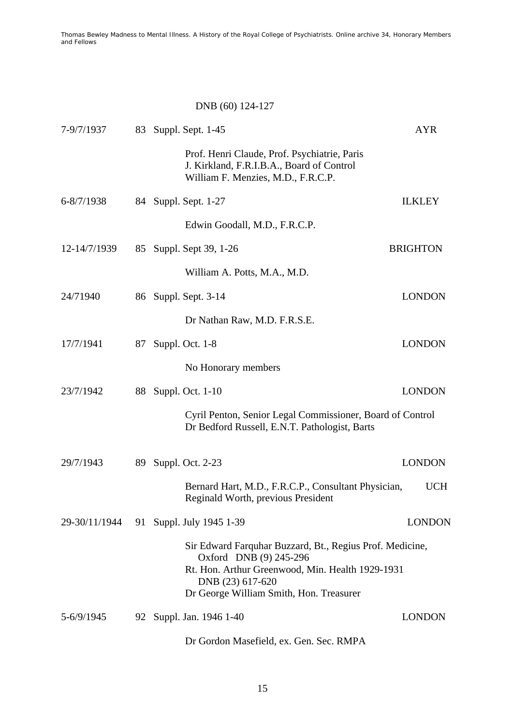# DNB (60) 124-127

| 7-9/7/1937                             | 83 | Suppl. Sept. 1-45                                                                                                                                                                                     |                 | <b>AYR</b>    |
|----------------------------------------|----|-------------------------------------------------------------------------------------------------------------------------------------------------------------------------------------------------------|-----------------|---------------|
|                                        |    | Prof. Henri Claude, Prof. Psychiatrie, Paris<br>J. Kirkland, F.R.I.B.A., Board of Control<br>William F. Menzies, M.D., F.R.C.P.                                                                       |                 |               |
| $6 - 8/7/1938$                         | 84 | Suppl. Sept. 1-27                                                                                                                                                                                     | <b>ILKLEY</b>   |               |
|                                        |    | Edwin Goodall, M.D., F.R.C.P.                                                                                                                                                                         |                 |               |
| 12-14/7/1939                           | 85 | Suppl. Sept 39, 1-26                                                                                                                                                                                  | <b>BRIGHTON</b> |               |
|                                        |    | William A. Potts, M.A., M.D.                                                                                                                                                                          |                 |               |
| 24/71940                               |    | 86 Suppl. Sept. 3-14                                                                                                                                                                                  | <b>LONDON</b>   |               |
|                                        |    | Dr Nathan Raw, M.D. F.R.S.E.                                                                                                                                                                          |                 |               |
| 17/7/1941                              | 87 | Suppl. Oct. 1-8                                                                                                                                                                                       | <b>LONDON</b>   |               |
|                                        |    | No Honorary members                                                                                                                                                                                   |                 |               |
| 23/7/1942                              | 88 | Suppl. Oct. 1-10                                                                                                                                                                                      | <b>LONDON</b>   |               |
|                                        |    | Cyril Penton, Senior Legal Commissioner, Board of Control<br>Dr Bedford Russell, E.N.T. Pathologist, Barts                                                                                            |                 |               |
| 29/7/1943                              | 89 | Suppl. Oct. 2-23                                                                                                                                                                                      | <b>LONDON</b>   |               |
|                                        |    | Bernard Hart, M.D., F.R.C.P., Consultant Physician,<br>Reginald Worth, previous President                                                                                                             |                 | <b>UCH</b>    |
| 29-30/11/1944 91 Suppl. July 1945 1-39 |    |                                                                                                                                                                                                       |                 | <b>LONDON</b> |
|                                        |    | Sir Edward Farquhar Buzzard, Bt., Regius Prof. Medicine,<br>Oxford DNB (9) 245-296<br>Rt. Hon. Arthur Greenwood, Min. Health 1929-1931<br>DNB (23) 617-620<br>Dr George William Smith, Hon. Treasurer |                 |               |
| 5-6/9/1945                             |    | 92 Suppl. Jan. 1946 1-40                                                                                                                                                                              | <b>LONDON</b>   |               |
|                                        |    | Dr Gordon Masefield, ex. Gen. Sec. RMPA                                                                                                                                                               |                 |               |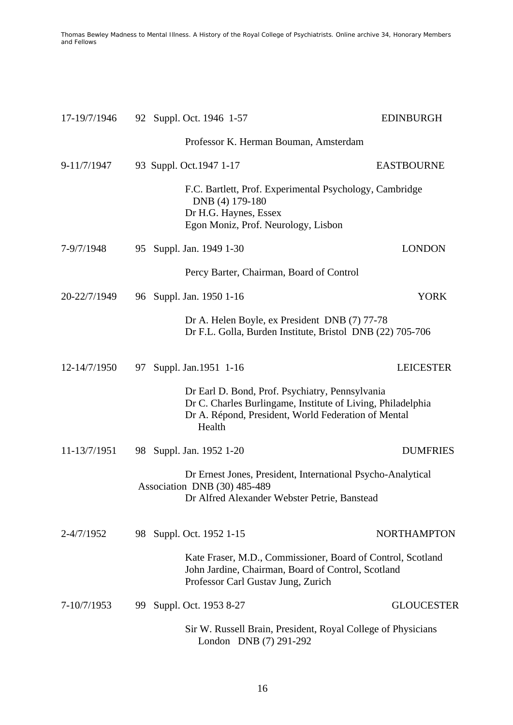| 17-19/7/1946   | 92 Suppl. Oct. 1946 1-57                                                                                                                                                        | <b>EDINBURGH</b>   |
|----------------|---------------------------------------------------------------------------------------------------------------------------------------------------------------------------------|--------------------|
|                | Professor K. Herman Bouman, Amsterdam                                                                                                                                           |                    |
| 9-11/7/1947    | 93 Suppl. Oct. 1947 1-17                                                                                                                                                        | <b>EASTBOURNE</b>  |
|                | F.C. Bartlett, Prof. Experimental Psychology, Cambridge<br>DNB (4) 179-180<br>Dr H.G. Haynes, Essex<br>Egon Moniz, Prof. Neurology, Lisbon                                      |                    |
| 7-9/7/1948     | 95 Suppl. Jan. 1949 1-30                                                                                                                                                        | <b>LONDON</b>      |
|                | Percy Barter, Chairman, Board of Control                                                                                                                                        |                    |
| 20-22/7/1949   | 96 Suppl. Jan. 1950 1-16                                                                                                                                                        | <b>YORK</b>        |
|                | Dr A. Helen Boyle, ex President DNB (7) 77-78<br>Dr F.L. Golla, Burden Institute, Bristol DNB (22) 705-706                                                                      |                    |
| 12-14/7/1950   | Suppl. Jan. 1951 1-16<br>97                                                                                                                                                     | <b>LEICESTER</b>   |
|                | Dr Earl D. Bond, Prof. Psychiatry, Pennsylvania<br>Dr C. Charles Burlingame, Institute of Living, Philadelphia<br>Dr A. Répond, President, World Federation of Mental<br>Health |                    |
| 11-13/7/1951   | 98 Suppl. Jan. 1952 1-20                                                                                                                                                        | <b>DUMFRIES</b>    |
|                | Dr Ernest Jones, President, International Psycho-Analytical<br>Association DNB (30) 485-489<br>Dr Alfred Alexander Webster Petrie, Banstead                                     |                    |
| $2 - 4/7/1952$ | 98 Suppl. Oct. 1952 1-15                                                                                                                                                        | <b>NORTHAMPTON</b> |
|                | Kate Fraser, M.D., Commissioner, Board of Control, Scotland<br>John Jardine, Chairman, Board of Control, Scotland<br>Professor Carl Gustav Jung, Zurich                         |                    |
| 7-10/7/1953    | Suppl. Oct. 1953 8-27<br>99.                                                                                                                                                    | <b>GLOUCESTER</b>  |
|                | Sir W. Russell Brain, President, Royal College of Physicians<br>London DNB (7) 291-292                                                                                          |                    |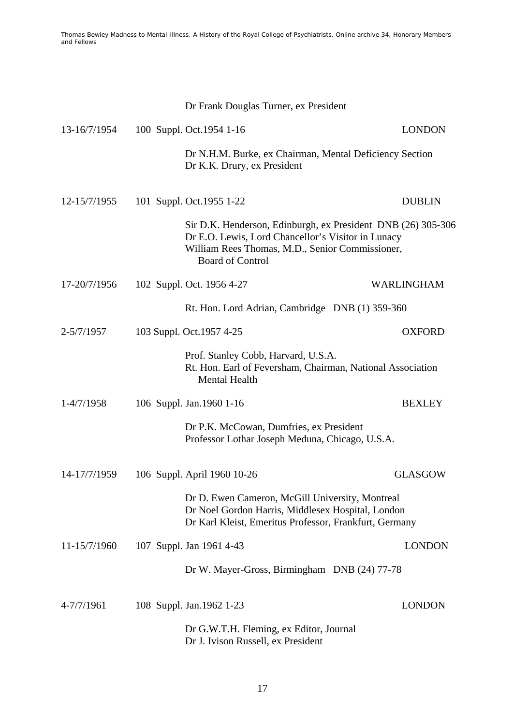|              | Dr Frank Douglas Turner, ex President                                                                                                                                                            |                |
|--------------|--------------------------------------------------------------------------------------------------------------------------------------------------------------------------------------------------|----------------|
| 13-16/7/1954 | 100 Suppl. Oct. 1954 1-16                                                                                                                                                                        | <b>LONDON</b>  |
|              | Dr N.H.M. Burke, ex Chairman, Mental Deficiency Section<br>Dr K.K. Drury, ex President                                                                                                           |                |
| 12-15/7/1955 | 101 Suppl. Oct. 1955 1-22                                                                                                                                                                        | <b>DUBLIN</b>  |
|              | Sir D.K. Henderson, Edinburgh, ex President DNB (26) 305-306<br>Dr E.O. Lewis, Lord Chancellor's Visitor in Lunacy<br>William Rees Thomas, M.D., Senior Commissioner,<br><b>Board of Control</b> |                |
| 17-20/7/1956 | 102 Suppl. Oct. 1956 4-27                                                                                                                                                                        | WARLINGHAM     |
|              | Rt. Hon. Lord Adrian, Cambridge DNB (1) 359-360                                                                                                                                                  |                |
| 2-5/7/1957   | 103 Suppl. Oct. 1957 4-25                                                                                                                                                                        | <b>OXFORD</b>  |
|              | Prof. Stanley Cobb, Harvard, U.S.A.<br>Rt. Hon. Earl of Feversham, Chairman, National Association<br><b>Mental Health</b>                                                                        |                |
| 1-4/7/1958   | 106 Suppl. Jan. 1960 1-16                                                                                                                                                                        | <b>BEXLEY</b>  |
|              | Dr P.K. McCowan, Dumfries, ex President<br>Professor Lothar Joseph Meduna, Chicago, U.S.A.                                                                                                       |                |
| 14-17/7/1959 | 106 Suppl. April 1960 10-26                                                                                                                                                                      | <b>GLASGOW</b> |
|              | Dr D. Ewen Cameron, McGill University, Montreal<br>Dr Noel Gordon Harris, Middlesex Hospital, London<br>Dr Karl Kleist, Emeritus Professor, Frankfurt, Germany                                   |                |
| 11-15/7/1960 | 107 Suppl. Jan 1961 4-43                                                                                                                                                                         | <b>LONDON</b>  |
|              | Dr W. Mayer-Gross, Birmingham DNB (24) 77-78                                                                                                                                                     |                |
| 4-7/7/1961   | 108 Suppl. Jan. 1962 1-23                                                                                                                                                                        | <b>LONDON</b>  |
|              | Dr G.W.T.H. Fleming, ex Editor, Journal<br>Dr J. Ivison Russell, ex President                                                                                                                    |                |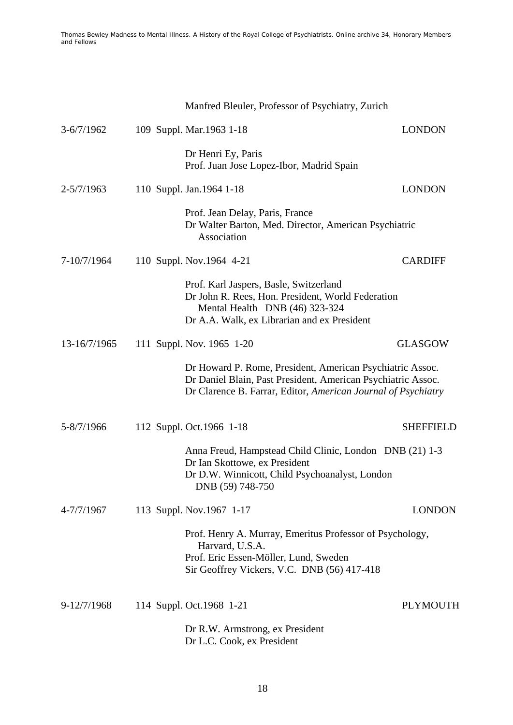|                | Manfred Bleuler, Professor of Psychiatry, Zurich                                                                                                                                           |                  |
|----------------|--------------------------------------------------------------------------------------------------------------------------------------------------------------------------------------------|------------------|
| $3-6/7/1962$   | 109 Suppl. Mar. 1963 1-18                                                                                                                                                                  | <b>LONDON</b>    |
|                | Dr Henri Ey, Paris<br>Prof. Juan Jose Lopez-Ibor, Madrid Spain                                                                                                                             |                  |
| $2 - 5/7/1963$ | 110 Suppl. Jan. 1964 1-18                                                                                                                                                                  | <b>LONDON</b>    |
|                | Prof. Jean Delay, Paris, France<br>Dr Walter Barton, Med. Director, American Psychiatric<br>Association                                                                                    |                  |
| 7-10/7/1964    | 110 Suppl. Nov. 1964 4-21                                                                                                                                                                  | <b>CARDIFF</b>   |
|                | Prof. Karl Jaspers, Basle, Switzerland<br>Dr John R. Rees, Hon. President, World Federation<br>Mental Health DNB (46) 323-324<br>Dr A.A. Walk, ex Librarian and ex President               |                  |
| 13-16/7/1965   | 111 Suppl. Nov. 1965 1-20                                                                                                                                                                  | <b>GLASGOW</b>   |
|                | Dr Howard P. Rome, President, American Psychiatric Assoc.<br>Dr Daniel Blain, Past President, American Psychiatric Assoc.<br>Dr Clarence B. Farrar, Editor, American Journal of Psychiatry |                  |
| 5-8/7/1966     | 112 Suppl. Oct. 1966 1-18                                                                                                                                                                  | <b>SHEFFIELD</b> |
|                | Anna Freud, Hampstead Child Clinic, London DNB (21) 1-3<br>Dr Ian Skottowe, ex President<br>Dr D.W. Winnicott, Child Psychoanalyst, London<br>DNB (59) 748-750                             |                  |
| 4-7/7/1967     | 113 Suppl. Nov. 1967 1-17                                                                                                                                                                  | <b>LONDON</b>    |
|                | Prof. Henry A. Murray, Emeritus Professor of Psychology,<br>Harvard, U.S.A.<br>Prof. Eric Essen-Möller, Lund, Sweden<br>Sir Geoffrey Vickers, V.C. DNB (56) 417-418                        |                  |
| 9-12/7/1968    | 114 Suppl. Oct. 1968 1-21                                                                                                                                                                  | <b>PLYMOUTH</b>  |
|                | Dr R.W. Armstrong, ex President<br>Dr L.C. Cook, ex President                                                                                                                              |                  |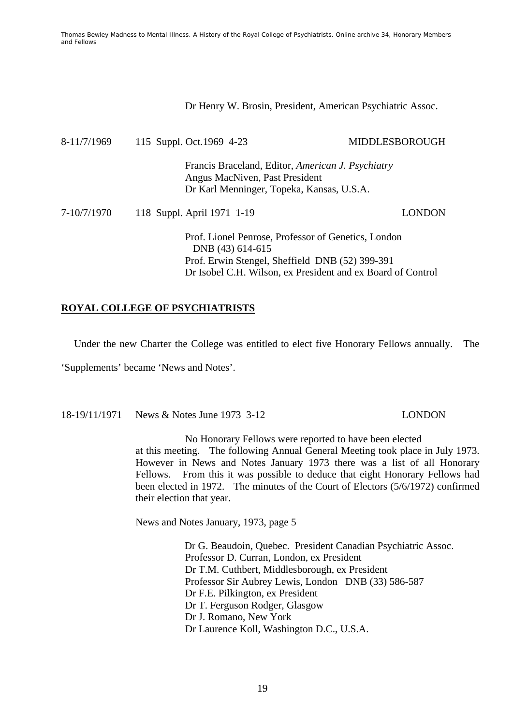Dr Henry W. Brosin, President, American Psychiatric Assoc.

| 8-11/7/1969 | 115 Suppl. Oct. 1969 4-23      | MIDDLESBOROUGH                                                                                                                                                        |
|-------------|--------------------------------|-----------------------------------------------------------------------------------------------------------------------------------------------------------------------|
|             | Angus MacNiven, Past President | Francis Braceland, Editor, American J. Psychiatry<br>Dr Karl Menninger, Topeka, Kansas, U.S.A.                                                                        |
| 7-10/7/1970 | 118 Suppl. April 1971 1-19     | LONDON                                                                                                                                                                |
|             | DNB (43) 614-615               | Prof. Lionel Penrose, Professor of Genetics, London<br>Prof. Erwin Stengel, Sheffield DNB (52) 399-391<br>Dr Isobel C.H. Wilson, ex President and ex Board of Control |

# **ROYAL COLLEGE OF PSYCHIATRISTS**

Under the new Charter the College was entitled to elect five Honorary Fellows annually. The

'Supplements' became 'News and Notes'.

18-19/11/1971 News & Notes June 1973 3-12 LONDON

 No Honorary Fellows were reported to have been elected at this meeting. The following Annual General Meeting took place in July 1973. However in News and Notes January 1973 there was a list of all Honorary Fellows. From this it was possible to deduce that eight Honorary Fellows had been elected in 1972. The minutes of the Court of Electors (5/6/1972) confirmed their election that year.

News and Notes January, 1973, page 5

 Dr G. Beaudoin, Quebec. President Canadian Psychiatric Assoc. Professor D. Curran, London, ex President Dr T.M. Cuthbert, Middlesborough, ex President Professor Sir Aubrey Lewis, London DNB (33) 586-587 Dr F.E. Pilkington, ex President Dr T. Ferguson Rodger, Glasgow Dr J. Romano, New York Dr Laurence Koll, Washington D.C., U.S.A.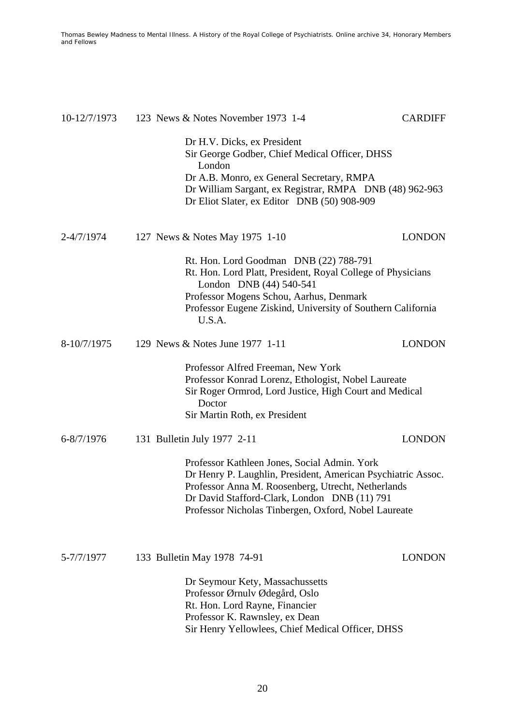| 10-12/7/1973   | 123 News & Notes November 1973 1-4                                                                                                                                                                                                                                         | <b>CARDIFF</b> |
|----------------|----------------------------------------------------------------------------------------------------------------------------------------------------------------------------------------------------------------------------------------------------------------------------|----------------|
|                | Dr H.V. Dicks, ex President<br>Sir George Godber, Chief Medical Officer, DHSS<br>London<br>Dr A.B. Monro, ex General Secretary, RMPA<br>Dr William Sargant, ex Registrar, RMPA DNB (48) 962-963<br>Dr Eliot Slater, ex Editor DNB (50) 908-909                             |                |
| 2-4/7/1974     | 127 News & Notes May 1975 1-10                                                                                                                                                                                                                                             | <b>LONDON</b>  |
|                | Rt. Hon. Lord Goodman DNB (22) 788-791<br>Rt. Hon. Lord Platt, President, Royal College of Physicians<br>London DNB (44) 540-541<br>Professor Mogens Schou, Aarhus, Denmark<br>Professor Eugene Ziskind, University of Southern California<br>U.S.A.                       |                |
| 8-10/7/1975    | 129 News & Notes June 1977 1-11                                                                                                                                                                                                                                            | <b>LONDON</b>  |
|                | Professor Alfred Freeman, New York<br>Professor Konrad Lorenz, Ethologist, Nobel Laureate<br>Sir Roger Ormrod, Lord Justice, High Court and Medical<br>Doctor<br>Sir Martin Roth, ex President                                                                             |                |
| $6 - 8/7/1976$ | 131 Bulletin July 1977 2-11                                                                                                                                                                                                                                                | <b>LONDON</b>  |
|                | Professor Kathleen Jones, Social Admin. York<br>Dr Henry P. Laughlin, President, American Psychiatric Assoc.<br>Professor Anna M. Roosenberg, Utrecht, Netherlands<br>Dr David Stafford-Clark, London DNB (11) 791<br>Professor Nicholas Tinbergen, Oxford, Nobel Laureate |                |
| 5-7/7/1977     | 133 Bulletin May 1978 74-91                                                                                                                                                                                                                                                | <b>LONDON</b>  |
|                | Dr Seymour Kety, Massachussetts<br>Professor Ørnulv Ødegård, Oslo<br>Rt. Hon. Lord Rayne, Financier<br>Professor K. Rawnsley, ex Dean<br>Sir Henry Yellowlees, Chief Medical Officer, DHSS                                                                                 |                |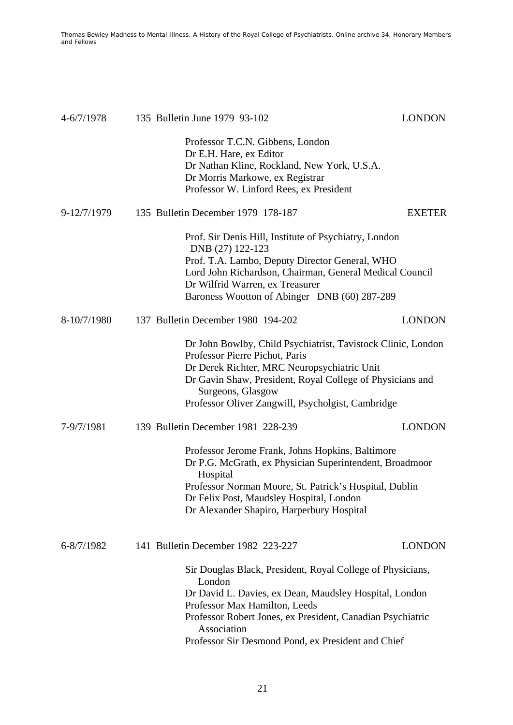| $4 - 6/7/1978$ | 135 Bulletin June 1979 93-102                                                                                                                                                                                                                                                                      | <b>LONDON</b> |
|----------------|----------------------------------------------------------------------------------------------------------------------------------------------------------------------------------------------------------------------------------------------------------------------------------------------------|---------------|
|                | Professor T.C.N. Gibbens, London<br>Dr E.H. Hare, ex Editor<br>Dr Nathan Kline, Rockland, New York, U.S.A.<br>Dr Morris Markowe, ex Registrar<br>Professor W. Linford Rees, ex President                                                                                                           |               |
| 9-12/7/1979    | 135 Bulletin December 1979 178-187                                                                                                                                                                                                                                                                 | <b>EXETER</b> |
|                | Prof. Sir Denis Hill, Institute of Psychiatry, London<br>DNB (27) 122-123<br>Prof. T.A. Lambo, Deputy Director General, WHO<br>Lord John Richardson, Chairman, General Medical Council<br>Dr Wilfrid Warren, ex Treasurer<br>Baroness Wootton of Abinger DNB (60) 287-289                          |               |
| 8-10/7/1980    | 137 Bulletin December 1980 194-202                                                                                                                                                                                                                                                                 | <b>LONDON</b> |
|                | Dr John Bowlby, Child Psychiatrist, Tavistock Clinic, London<br>Professor Pierre Pichot, Paris<br>Dr Derek Richter, MRC Neuropsychiatric Unit<br>Dr Gavin Shaw, President, Royal College of Physicians and<br>Surgeons, Glasgow<br>Professor Oliver Zangwill, Psycholgist, Cambridge               |               |
| 7-9/7/1981     | 139 Bulletin December 1981 228-239                                                                                                                                                                                                                                                                 | <b>LONDON</b> |
|                | Professor Jerome Frank, Johns Hopkins, Baltimore<br>Dr P.G. McGrath, ex Physician Superintendent, Broadmoor<br>Hospital<br>Professor Norman Moore, St. Patrick's Hospital, Dublin<br>Dr Felix Post, Maudsley Hospital, London<br>Dr Alexander Shapiro, Harperbury Hospital                         |               |
| 6-8/7/1982     | 141 Bulletin December 1982 223-227                                                                                                                                                                                                                                                                 | <b>LONDON</b> |
|                | Sir Douglas Black, President, Royal College of Physicians,<br>London<br>Dr David L. Davies, ex Dean, Maudsley Hospital, London<br>Professor Max Hamilton, Leeds<br>Professor Robert Jones, ex President, Canadian Psychiatric<br>Association<br>Professor Sir Desmond Pond, ex President and Chief |               |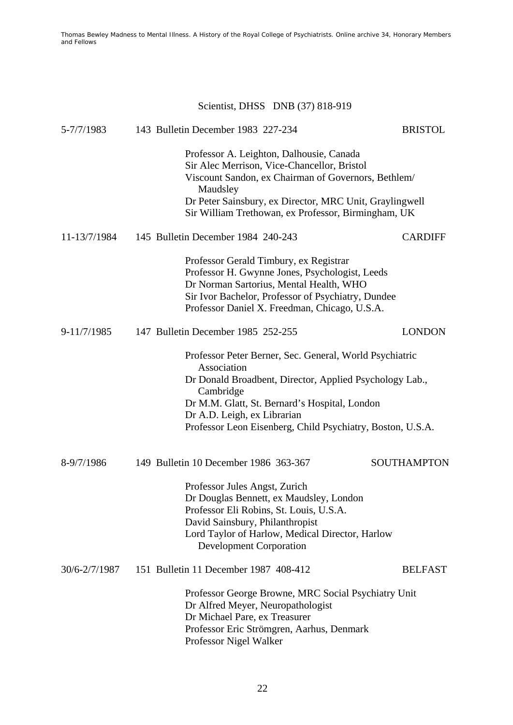# Scientist, DHSS DNB (37) 818-919

| 5-7/7/1983    | 143 Bulletin December 1983 227-234                                                                                                                                                                                                                                                           | <b>BRISTOL</b>     |
|---------------|----------------------------------------------------------------------------------------------------------------------------------------------------------------------------------------------------------------------------------------------------------------------------------------------|--------------------|
|               | Professor A. Leighton, Dalhousie, Canada<br>Sir Alec Merrison, Vice-Chancellor, Bristol<br>Viscount Sandon, ex Chairman of Governors, Bethlem/<br>Maudsley<br>Dr Peter Sainsbury, ex Director, MRC Unit, Graylingwell<br>Sir William Trethowan, ex Professor, Birmingham, UK                 |                    |
| 11-13/7/1984  | 145 Bulletin December 1984 240-243                                                                                                                                                                                                                                                           | <b>CARDIFF</b>     |
|               | Professor Gerald Timbury, ex Registrar<br>Professor H. Gwynne Jones, Psychologist, Leeds<br>Dr Norman Sartorius, Mental Health, WHO<br>Sir Ivor Bachelor, Professor of Psychiatry, Dundee<br>Professor Daniel X. Freedman, Chicago, U.S.A.                                                   |                    |
| 9-11/7/1985   | 147 Bulletin December 1985 252-255                                                                                                                                                                                                                                                           | <b>LONDON</b>      |
|               | Professor Peter Berner, Sec. General, World Psychiatric<br>Association<br>Dr Donald Broadbent, Director, Applied Psychology Lab.,<br>Cambridge<br>Dr M.M. Glatt, St. Bernard's Hospital, London<br>Dr A.D. Leigh, ex Librarian<br>Professor Leon Eisenberg, Child Psychiatry, Boston, U.S.A. |                    |
| 8-9/7/1986    | 149 Bulletin 10 December 1986 363-367                                                                                                                                                                                                                                                        | <b>SOUTHAMPTON</b> |
|               | Professor Jules Angst, Zurich<br>Dr Douglas Bennett, ex Maudsley, London<br>Professor Eli Robins, St. Louis, U.S.A.<br>David Sainsbury, Philanthropist<br>Lord Taylor of Harlow, Medical Director, Harlow<br><b>Development Corporation</b>                                                  |                    |
| 30/6-2/7/1987 | 151 Bulletin 11 December 1987 408-412                                                                                                                                                                                                                                                        | <b>BELFAST</b>     |
|               | Professor George Browne, MRC Social Psychiatry Unit<br>Dr Alfred Meyer, Neuropathologist<br>Dr Michael Pare, ex Treasurer<br>Professor Eric Strömgren, Aarhus, Denmark<br>Professor Nigel Walker                                                                                             |                    |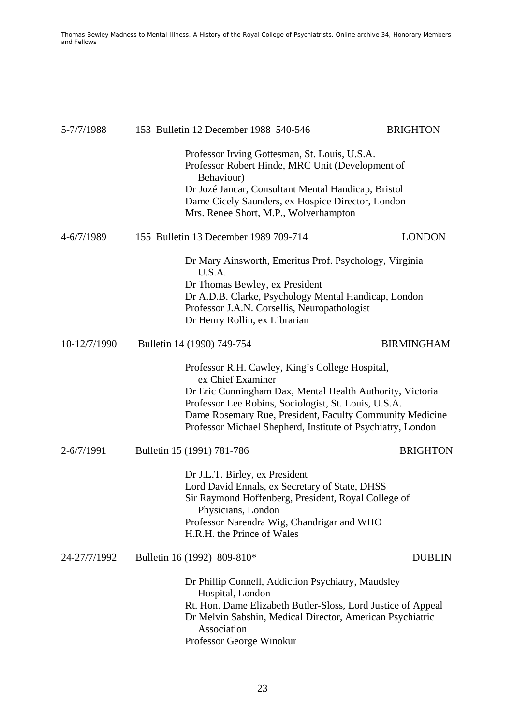| 5-7/7/1988     | 153 Bulletin 12 December 1988 540-546                                                                                                                                                                                                                                                                                | <b>BRIGHTON</b>   |
|----------------|----------------------------------------------------------------------------------------------------------------------------------------------------------------------------------------------------------------------------------------------------------------------------------------------------------------------|-------------------|
|                | Professor Irving Gottesman, St. Louis, U.S.A.<br>Professor Robert Hinde, MRC Unit (Development of<br>Behaviour)<br>Dr Jozé Jancar, Consultant Mental Handicap, Bristol<br>Dame Cicely Saunders, ex Hospice Director, London<br>Mrs. Renee Short, M.P., Wolverhampton                                                 |                   |
| 4-6/7/1989     | 155 Bulletin 13 December 1989 709-714                                                                                                                                                                                                                                                                                | <b>LONDON</b>     |
|                | Dr Mary Ainsworth, Emeritus Prof. Psychology, Virginia<br>U.S.A.<br>Dr Thomas Bewley, ex President<br>Dr A.D.B. Clarke, Psychology Mental Handicap, London<br>Professor J.A.N. Corsellis, Neuropathologist<br>Dr Henry Rollin, ex Librarian                                                                          |                   |
| 10-12/7/1990   | Bulletin 14 (1990) 749-754                                                                                                                                                                                                                                                                                           | <b>BIRMINGHAM</b> |
|                | Professor R.H. Cawley, King's College Hospital,<br>ex Chief Examiner<br>Dr Eric Cunningham Dax, Mental Health Authority, Victoria<br>Professor Lee Robins, Sociologist, St. Louis, U.S.A.<br>Dame Rosemary Rue, President, Faculty Community Medicine<br>Professor Michael Shepherd, Institute of Psychiatry, London |                   |
| $2 - 6/7/1991$ | Bulletin 15 (1991) 781-786                                                                                                                                                                                                                                                                                           | <b>BRIGHTON</b>   |
|                | Dr J.L.T. Birley, ex President<br>Lord David Ennals, ex Secretary of State, DHSS<br>Sir Raymond Hoffenberg, President, Royal College of<br>Physicians, London<br>Professor Narendra Wig, Chandrigar and WHO<br>H.R.H. the Prince of Wales                                                                            |                   |
| 24-27/7/1992   | Bulletin 16 (1992) 809-810*                                                                                                                                                                                                                                                                                          | <b>DUBLIN</b>     |
|                | Dr Phillip Connell, Addiction Psychiatry, Maudsley<br>Hospital, London<br>Rt. Hon. Dame Elizabeth Butler-Sloss, Lord Justice of Appeal<br>Dr Melvin Sabshin, Medical Director, American Psychiatric<br>Association<br>Professor George Winokur                                                                       |                   |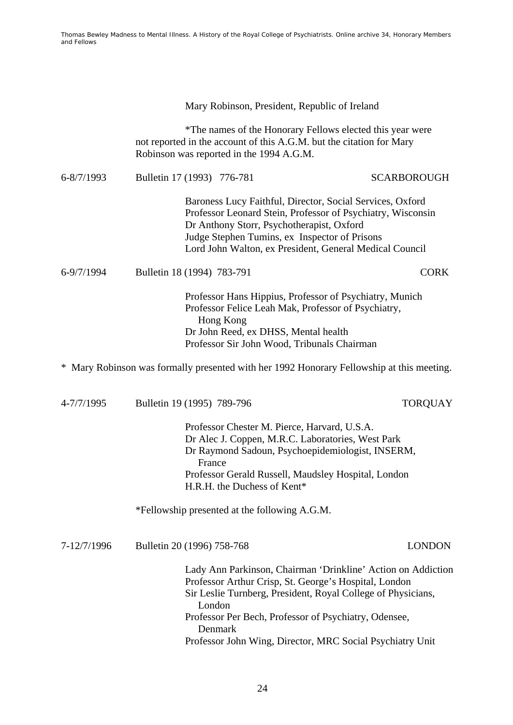Mary Robinson, President, Republic of Ireland

 \*The names of the Honorary Fellows elected this year were not reported in the account of this A.G.M. but the citation for Mary Robinson was reported in the 1994 A.G.M.

| $6 - 8/7/1993$ | Bulletin 17 (1993) 776-781                                                                                                                                                                                                                                                        |  | <b>SCARBOROUGH</b> |  |  |  |
|----------------|-----------------------------------------------------------------------------------------------------------------------------------------------------------------------------------------------------------------------------------------------------------------------------------|--|--------------------|--|--|--|
|                | Baroness Lucy Faithful, Director, Social Services, Oxford<br>Professor Leonard Stein, Professor of Psychiatry, Wisconsin<br>Dr Anthony Storr, Psychotherapist, Oxford<br>Judge Stephen Tumins, ex Inspector of Prisons<br>Lord John Walton, ex President, General Medical Council |  |                    |  |  |  |
| 6-9/7/1994     | Bulletin 18 (1994) 783-791                                                                                                                                                                                                                                                        |  | CORK               |  |  |  |
|                | Professor Hans Hippius, Professor of Psychiatry, Munich<br>Professor Felice Leah Mak, Professor of Psychiatry,<br>Hong Kong                                                                                                                                                       |  |                    |  |  |  |

 Dr John Reed, ex DHSS, Mental health Professor Sir John Wood, Tribunals Chairman

\* Mary Robinson was formally presented with her 1992 Honorary Fellowship at this meeting.

| 4-7/7/1995  | Bulletin 19 (1995) 789-796                                                                                                                                                                                                                                                                                                       | <b>TORQUAY</b> |
|-------------|----------------------------------------------------------------------------------------------------------------------------------------------------------------------------------------------------------------------------------------------------------------------------------------------------------------------------------|----------------|
|             | Professor Chester M. Pierce, Harvard, U.S.A.<br>Dr Alec J. Coppen, M.R.C. Laboratories, West Park<br>Dr Raymond Sadoun, Psychoepidemiologist, INSERM,<br>France<br>Professor Gerald Russell, Maudsley Hospital, London<br>H.R.H. the Duchess of Kent*                                                                            |                |
|             | *Fellowship presented at the following A.G.M.                                                                                                                                                                                                                                                                                    |                |
| 7-12/7/1996 | Bulletin 20 (1996) 758-768                                                                                                                                                                                                                                                                                                       | <b>LONDON</b>  |
|             | Lady Ann Parkinson, Chairman 'Drinkline' Action on Addiction<br>Professor Arthur Crisp, St. George's Hospital, London<br>Sir Leslie Turnberg, President, Royal College of Physicians,<br>London<br>Professor Per Bech, Professor of Psychiatry, Odensee,<br>Denmark<br>Professor John Wing, Director, MRC Social Psychiatry Unit |                |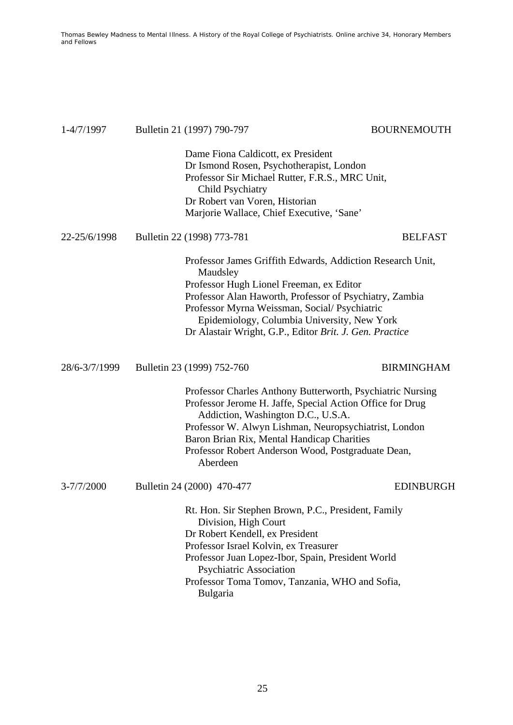| 1-4/7/1997     | Bulletin 21 (1997) 790-797                                                                                                                                                                                                                                                                                                              | <b>BOURNEMOUTH</b> |
|----------------|-----------------------------------------------------------------------------------------------------------------------------------------------------------------------------------------------------------------------------------------------------------------------------------------------------------------------------------------|--------------------|
|                | Dame Fiona Caldicott, ex President<br>Dr Ismond Rosen, Psychotherapist, London<br>Professor Sir Michael Rutter, F.R.S., MRC Unit,<br><b>Child Psychiatry</b><br>Dr Robert van Voren, Historian<br>Marjorie Wallace, Chief Executive, 'Sane'                                                                                             |                    |
| 22-25/6/1998   | Bulletin 22 (1998) 773-781                                                                                                                                                                                                                                                                                                              | <b>BELFAST</b>     |
|                | Professor James Griffith Edwards, Addiction Research Unit,<br>Maudsley<br>Professor Hugh Lionel Freeman, ex Editor<br>Professor Alan Haworth, Professor of Psychiatry, Zambia<br>Professor Myrna Weissman, Social/Psychiatric<br>Epidemiology, Columbia University, New York<br>Dr Alastair Wright, G.P., Editor Brit. J. Gen. Practice |                    |
| 28/6-3/7/1999  | Bulletin 23 (1999) 752-760                                                                                                                                                                                                                                                                                                              | <b>BIRMINGHAM</b>  |
|                | Professor Charles Anthony Butterworth, Psychiatric Nursing<br>Professor Jerome H. Jaffe, Special Action Office for Drug<br>Addiction, Washington D.C., U.S.A.<br>Professor W. Alwyn Lishman, Neuropsychiatrist, London<br>Baron Brian Rix, Mental Handicap Charities<br>Professor Robert Anderson Wood, Postgraduate Dean,<br>Aberdeen  |                    |
| $3 - 7/7/2000$ | Bulletin 24 (2000) 470-477                                                                                                                                                                                                                                                                                                              | <b>EDINBURGH</b>   |
|                | Rt. Hon. Sir Stephen Brown, P.C., President, Family<br>Division, High Court<br>Dr Robert Kendell, ex President<br>Professor Israel Kolvin, ex Treasurer<br>Professor Juan Lopez-Ibor, Spain, President World<br>Psychiatric Association<br>Professor Toma Tomov, Tanzania, WHO and Sofia,<br>Bulgaria                                   |                    |